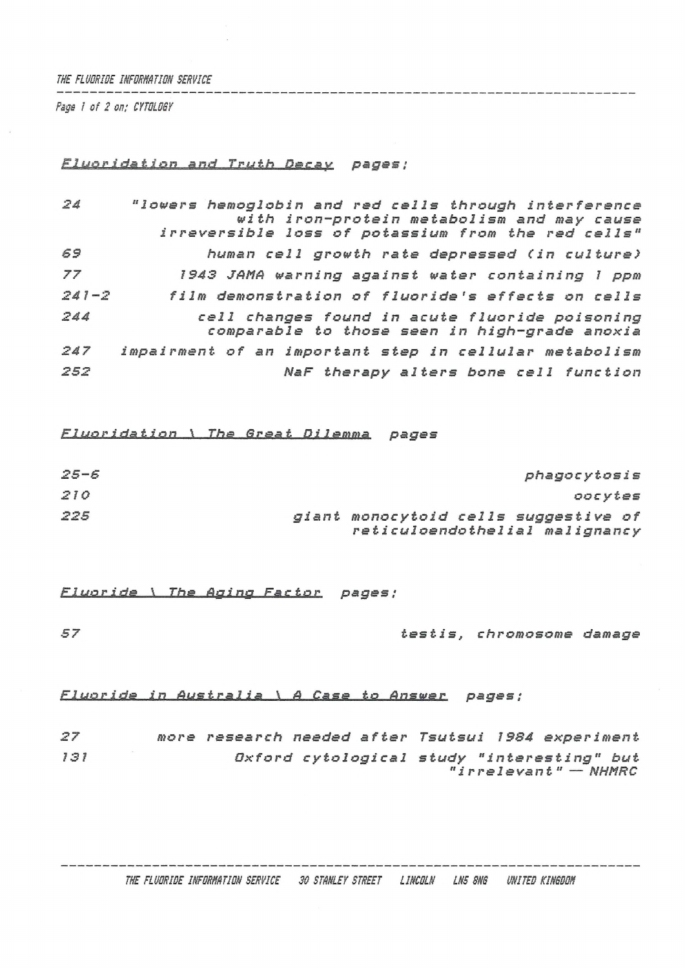## *THE FLUORIDE IHFORHATIOH SERVICE*

the product is the more and to provide the company of the company *Page ! of 2 on,- CYTOLOGY*

## *pages;*

| 24        | "lowers hemoglobin and red cells through interference<br>with iron-protein metabolism and may cause |
|-----------|-----------------------------------------------------------------------------------------------------|
|           | irreversible loss of potassium from the red cells"                                                  |
| 69        | human cell growth rate depressed (in culture)                                                       |
| 77        | 1943 JAMA warning against water containing 1 ppm                                                    |
| $241 - 2$ | film demonstration of fluoride's effects on cells                                                   |
| 244       | cell changes found in acute fluoride poisoning<br>comparable to those seen in high-grade anoxia     |
| 247       | impairment of an important step in cellular metabolism                                              |
| 252       | NaF therapy alters bone cell function                                                               |

*Fluoridation \ The Brest Dilemma pages*

| $25 - 6$ |                                                                        | phagocytosis |         |
|----------|------------------------------------------------------------------------|--------------|---------|
| 210      |                                                                        |              | oocytes |
| 225      | giant monocytoid cells suggestive of<br>reticuloendothelial malignancy |              |         |

*Fluoride \ The Aging Factor pages ;*

*57 testis, chromosome damage*

*ElMAüJjd» in Australia \ <sup>A</sup> Case to Answer pages;*

| 27  |  | more research needed after Tsutsui 1984 experiment |                                            |  |                         |  |
|-----|--|----------------------------------------------------|--------------------------------------------|--|-------------------------|--|
| 131 |  |                                                    | Oxford cytological study "interesting" but |  | " $irrelevant"$ - NHMRC |  |
|     |  |                                                    |                                            |  |                         |  |